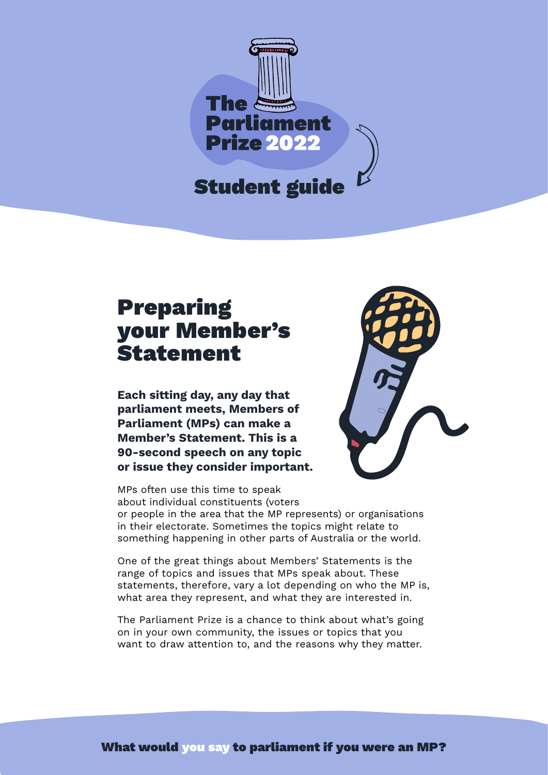

## Preparing your Member's **Statement**

**Each sitting day, any day that parliament meets, Members of Parliament (MPs) can make a Member's Statement. This is a 90-second speech on any topic or issue they consider important.** 

MPs often use this time to speak about individual constituents (voters



or people in the area that the MP represents) or organisations in their electorate. Sometimes the topics might relate to something happening in other parts of Australia or the world.

One of the great things about Members' Statements is the range of topics and issues that MPs speak about. These statements, therefore, vary a lot depending on who the MP is, what area they represent, and what they are interested in.

The Parliament Prize is a chance to think about what's going on in your own community, the issues or topics that you want to draw attention to, and the reasons why they matter.

What would you say to parliament if you were an MP?